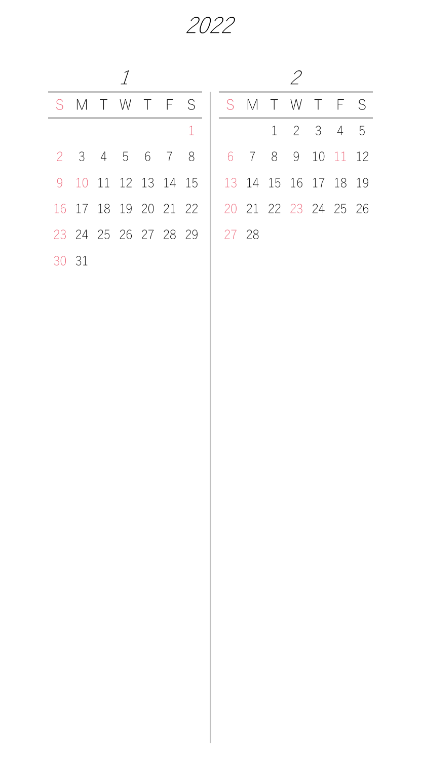|    |                      |  |  | SMTWTFS             |       |  |  | SMTWTFS              |  |
|----|----------------------|--|--|---------------------|-------|--|--|----------------------|--|
|    |                      |  |  |                     |       |  |  | $1 \t2 \t3 \t4 \t5$  |  |
|    | 2 3 4 5 6 7 8        |  |  |                     |       |  |  | 6 7 8 9 10 11 12     |  |
|    |                      |  |  | 9 10 11 12 13 14 15 |       |  |  | 13 14 15 16 17 18 19 |  |
|    | 16 17 18 19 20 21 22 |  |  |                     |       |  |  | 20 21 22 23 24 25 26 |  |
|    | 23 24 25 26 27 28 29 |  |  |                     | 27 28 |  |  |                      |  |
| 30 | -31                  |  |  |                     |       |  |  |                      |  |

| S. |       |  | SMTWTFS              |  |  |
|----|-------|--|----------------------|--|--|
| 1  |       |  | $1 \t2 \t3 \t4 \t5$  |  |  |
| 8  |       |  | 6 7 8 9 10 11 12     |  |  |
| 15 |       |  | 13 14 15 16 17 18 19 |  |  |
| 22 |       |  | 20 21 22 23 24 25 26 |  |  |
| 29 | 27 28 |  |                      |  |  |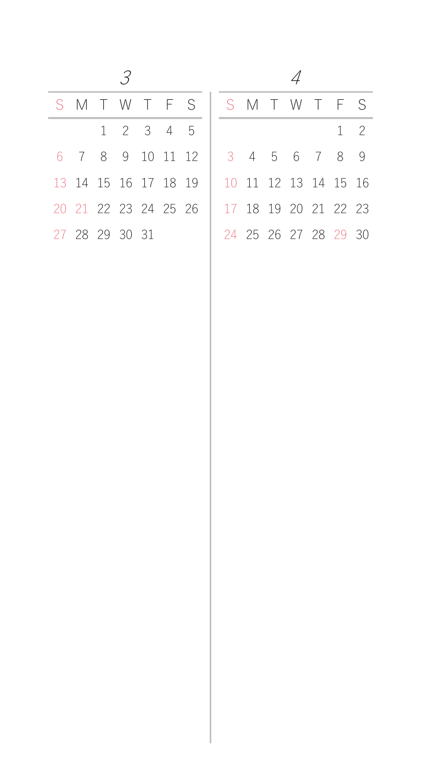| I<br>I<br>I<br>I | ٠<br>٧<br>I |
|------------------|-------------|
|                  |             |
| ¢                |             |

 $\sim$  4

|                |  |  |                     | S M T W T F S   S M T W T F S |                      |  |  |                      |             |
|----------------|--|--|---------------------|-------------------------------|----------------------|--|--|----------------------|-------------|
|                |  |  | $1 \t2 \t3 \t4 \t5$ |                               |                      |  |  |                      | $1 \quad 2$ |
|                |  |  |                     | 6 7 8 9 10 11 12              | 3 4 5 6 7 8 9        |  |  |                      |             |
|                |  |  |                     | 13 14 15 16 17 18 19          | 10 11 12 13 14 15 16 |  |  |                      |             |
|                |  |  |                     | 20 21 22 23 24 25 26          | 17 18 19 20 21 22 23 |  |  |                      |             |
| 27 28 29 30 31 |  |  |                     |                               |                      |  |  | 24 25 26 27 28 29 30 |             |

| SMTWTFS              |                     |  |  |  |  | SMTWTFS              |                      |
|----------------------|---------------------|--|--|--|--|----------------------|----------------------|
|                      | $1 \t2 \t3 \t4 \t5$ |  |  |  |  | $1 \quad 2$          |                      |
| 6 7 8 9 10 11 12     |                     |  |  |  |  | 3 4 5 6 7 8 9        |                      |
| 13 14 15 16 17 18 19 |                     |  |  |  |  | 10 11 12 13 14 15 16 |                      |
| 20 21 22 23 24 25 26 |                     |  |  |  |  | 17 18 19 20 21 22 23 |                      |
| 27 28 29 30 31       |                     |  |  |  |  |                      | 24 25 26 27 28 29 30 |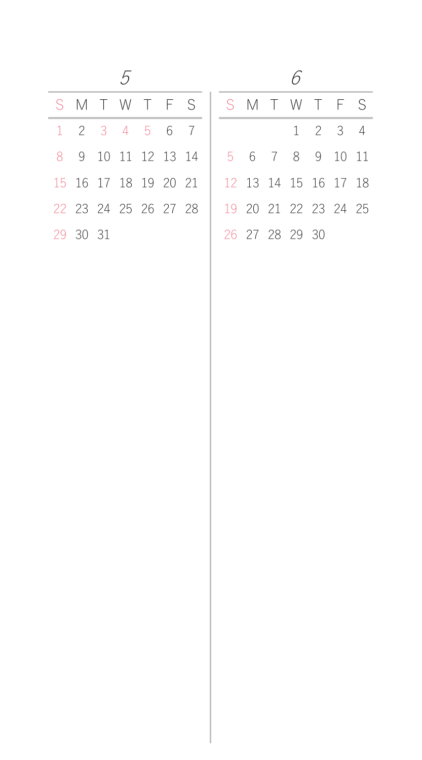| 6 |  |
|---|--|
|   |  |
|   |  |

|                             |  |  | S M T W T F S S M T W T F S                 |  |  |                      |  |  |
|-----------------------------|--|--|---------------------------------------------|--|--|----------------------|--|--|
| $1 \t2 \t3 \t4 \t5 \t6 \t7$ |  |  |                                             |  |  | $1 \t2 \t3 \t4$      |  |  |
|                             |  |  | 8 9 10 11 12 13 14   5 6 7 8 9 10 11        |  |  |                      |  |  |
|                             |  |  | 15 16 17 18 19 20 21   12 13 14 15 16 17 18 |  |  |                      |  |  |
|                             |  |  | 22 23 24 25 26 27 28                        |  |  | 19 20 21 22 23 24 25 |  |  |
| 29 30 31                    |  |  |                                             |  |  | 26 27 28 29 30       |  |  |

|          | S M T W T F S               |  |  | SMTWTFS              |  |                 |  |
|----------|-----------------------------|--|--|----------------------|--|-----------------|--|
|          | $1 \t2 \t3 \t4 \t5 \t6 \t7$ |  |  |                      |  | $1 \t2 \t3 \t4$ |  |
|          | 8 9 10 11 12 13 14          |  |  | 5 6 7 8 9 10 11      |  |                 |  |
|          | 15 16 17 18 19 20 21        |  |  | 12 13 14 15 16 17 18 |  |                 |  |
|          | 22 23 24 25 26 27 28        |  |  | 19 20 21 22 23 24 25 |  |                 |  |
| 29 30 31 |                             |  |  | 26 27 28 29 30       |  |                 |  |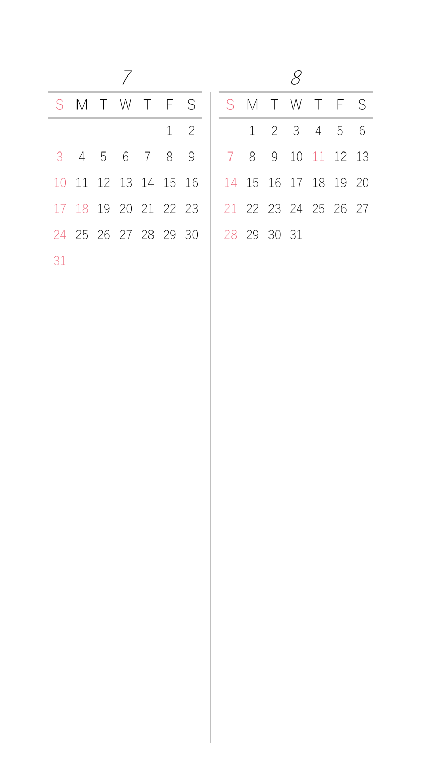8

|    |  |  | S M T W T F S S M T W T F S                 |  |  |  |                   |  |
|----|--|--|---------------------------------------------|--|--|--|-------------------|--|
|    |  |  | $1 \quad 2$                                 |  |  |  | 1 2 3 4 5 6       |  |
|    |  |  | 3 4 5 6 7 8 9                               |  |  |  | 7 8 9 10 11 12 13 |  |
|    |  |  | 10 11 12 13 14 15 16   14 15 16 17 18 19 20 |  |  |  |                   |  |
|    |  |  | 17 18 19 20 21 22 23   21 22 23 24 25 26 27 |  |  |  |                   |  |
|    |  |  | 24 25 26 27 28 29 30   28 29 30 31          |  |  |  |                   |  |
| 31 |  |  |                                             |  |  |  |                   |  |

|  |                      |  | S M T W T F S        |  |             |  | SMTWTFS              |  |
|--|----------------------|--|----------------------|--|-------------|--|----------------------|--|
|  |                      |  | $1 \quad 2$          |  |             |  | 1 2 3 4 5 6          |  |
|  | 3 4 5 6 7 8 9        |  |                      |  |             |  | 7 8 9 10 11 12 13    |  |
|  |                      |  | 10 11 12 13 14 15 16 |  |             |  | 14 15 16 17 18 19 20 |  |
|  | 17 18 19 20 21 22 23 |  |                      |  |             |  | 21 22 23 24 25 26 27 |  |
|  |                      |  | 24 25 26 27 28 29 30 |  | 28 29 30 31 |  |                      |  |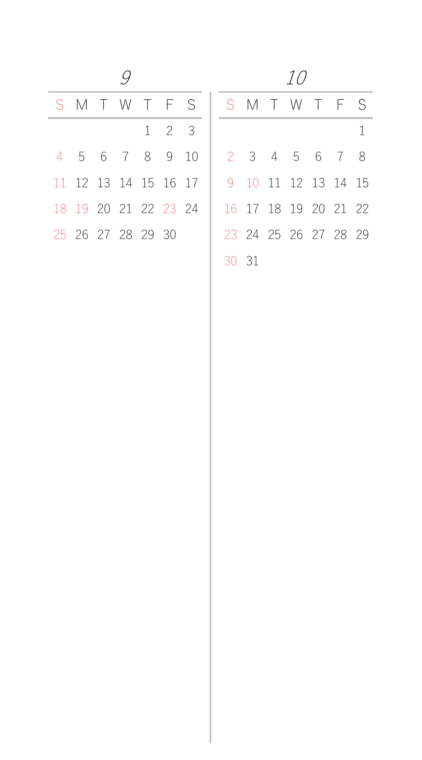|  | 10 |
|--|----|
|--|----|

|  |                      |  |             | SMTWTFS |  |  |  | SMTWTFS              |  |
|--|----------------------|--|-------------|---------|--|--|--|----------------------|--|
|  |                      |  | $1 \t2 \t3$ |         |  |  |  |                      |  |
|  | 4 5 6 7 8 9 10       |  |             |         |  |  |  | 2 3 4 5 6 7 8        |  |
|  | 11 12 13 14 15 16 17 |  |             |         |  |  |  | 9 10 11 12 13 14 15  |  |
|  | 18 19 20 21 22 23 24 |  |             |         |  |  |  | 16 17 18 19 20 21 22 |  |
|  | 25 26 27 28 29 30    |  |             |         |  |  |  | 23 24 25 26 27 28 29 |  |
|  |                      |  |             |         |  |  |  |                      |  |

| T F S       |  |       |  |  | SMTWTFS              |  |
|-------------|--|-------|--|--|----------------------|--|
| $1 \t2 \t3$ |  |       |  |  |                      |  |
| 8 9 10      |  |       |  |  | 2 3 4 5 6 7 8        |  |
| 15 16 17    |  |       |  |  | 9 10 11 12 13 14 15  |  |
| 22 23 24    |  |       |  |  | 16 17 18 19 20 21 22 |  |
| 29 30       |  |       |  |  | 23 24 25 26 27 28 29 |  |
|             |  | 30 31 |  |  |                      |  |